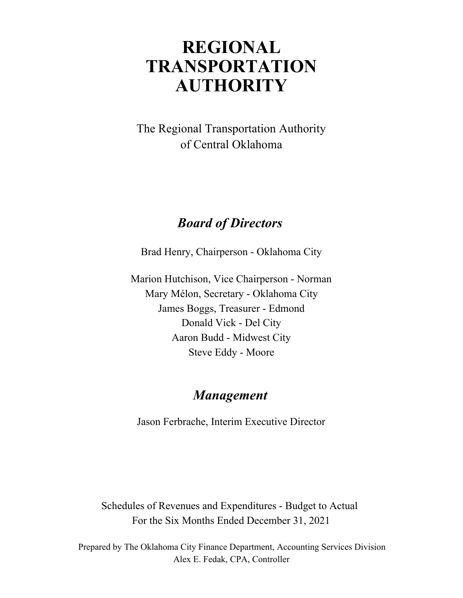# **REGIONAL AUTHORITY TRANSPORTATION**

of Central Oklahoma The Regional Transportation Authority

# *Board of Directors*

Brad Henry, Chairperson - Oklahoma City

Marion Hutchison, Vice Chairperson - Norman Aaron Budd - Midwest City Steve Eddy - Moore Mary Mélon, Secretary - Oklahoma City James Boggs, Treasurer - Edmond Donald Vick - Del City

## *Management*

Jason Ferbrache, Interim Executive Director

Schedules of Revenues and Expenditures - Budget to Actual For the Six Months Ended December 31, 2021

Alex E. Fedak, CPA, Controller Prepared by The Oklahoma City Finance Department, Accounting Services Division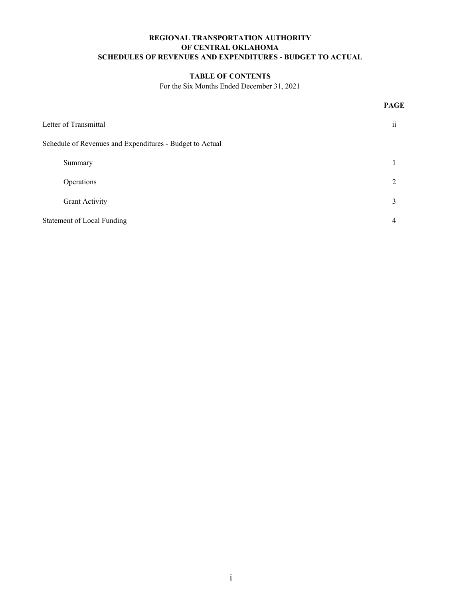#### **REGIONAL TRANSPORTATION AUTHORITY SCHEDULES OF REVENUES AND EXPENDITURES - BUDGET TO ACTUAL OF CENTRAL OKLAHOMA**

#### **TABLE OF CONTENTS**

For the Six Months Ended December 31, 2021

**PAGE**

| Letter of Transmittal                                    | $\ddotsc$<br>11 |
|----------------------------------------------------------|-----------------|
| Schedule of Revenues and Expenditures - Budget to Actual |                 |
| Summary                                                  |                 |
| Operations                                               |                 |
| <b>Grant Activity</b>                                    | 3               |
| <b>Statement of Local Funding</b>                        | 4               |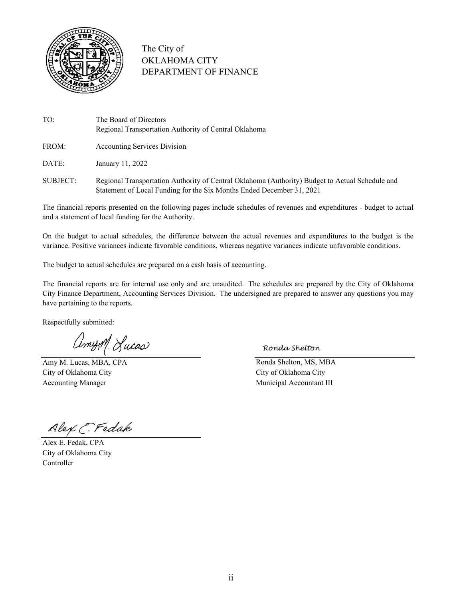

### The City of OKLAHOMA CITY DEPARTMENT OF FINANCE

- TO: The Board of Directors Regional Transportation Authority of Central Oklahoma
- FROM: Accounting Services Division

DATE: January 11, 2022

SUBJECT: Regional Transportation Authority of Central Oklahoma (Authority) Budget to Actual Schedule and Statement of Local Funding for the Six Months Ended December 31, 2021

The financial reports presented on the following pages include schedules of revenues and expenditures - budget to actual and a statement of local funding for the Authority.

On the budget to actual schedules, the difference between the actual revenues and expenditures to the budget is the variance. Positive variances indicate favorable conditions, whereas negative variances indicate unfavorable conditions.

The budget to actual schedules are prepared on a cash basis of accounting.

The financial reports are for internal use only and are unaudited. The schedules are prepared by the City of Oklahoma City Finance Department, Accounting Services Division. The undersigned are prepared to answer any questions you may have pertaining to the reports.

Respectfully submitted:

CimysM. Lucas

Amy M. Lucas, MBA, CPA Ronda Shelton, MS, MBA City of Oklahoma City City of Oklahoma City

*Ronda Shelton*

Accounting Manager and The Municipal Accountant III

Alex C. Fedak

Alex E. Fedak, CPA City of Oklahoma City Controller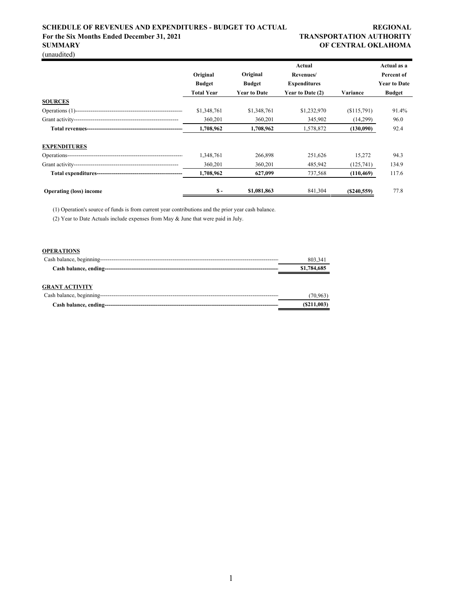#### **SCHEDULE OF REVENUES AND EXPENDITURES - BUDGET TO ACTUAL REGIONAL** For the Six Months Ended December 31, 2021 TRANSPORTATION AUTHORITY **SUMMARY OF CENTRAL OKLAHOMA**

(unaudited)

|                                |                   |                     | Actual              |            | Actual as a         |
|--------------------------------|-------------------|---------------------|---------------------|------------|---------------------|
|                                | Original          | Original            | Revenues/           |            | Percent of          |
|                                | <b>Budget</b>     | <b>Budget</b>       | <b>Expenditures</b> |            | <b>Year to Date</b> |
|                                | <b>Total Year</b> | <b>Year to Date</b> | Year to Date (2)    | Variance   | <b>Budget</b>       |
| <b>SOURCES</b>                 |                   |                     |                     |            |                     |
|                                | \$1,348,761       | \$1,348,761         | \$1,232,970         | (S115,791) | 91.4%               |
|                                | 360,201           | 360,201             | 345,902             | (14,299)   | 96.0                |
|                                | 1,708,962         | 1,708,962           | 1,578,872           | (130,090)  | 92.4                |
| <b>EXPENDITURES</b>            |                   |                     |                     |            |                     |
|                                | 1,348,761         | 266,898             | 251,626             | 15,272     | 94.3                |
|                                | 360,201           | 360,201             | 485,942             | (125,741)  | 134.9               |
|                                | 1,708,962         | 627,099             | 737,568             | (110, 469) | 117.6               |
| <b>Operating (loss) income</b> | $S -$             | \$1,081,863         | 841,304             | (S240.559) | 77.8                |

(1) Operation's source of funds is from current year contributions and the prior year cash balance.

(2) Year to Date Actuals include expenses from May & June that were paid in July.

#### **OPERATIONS**

|                       | 803,341     |
|-----------------------|-------------|
|                       | \$1,784,685 |
| <b>GRANT ACTIVITY</b> |             |
|                       | (70.963)    |
|                       | (S211,003)  |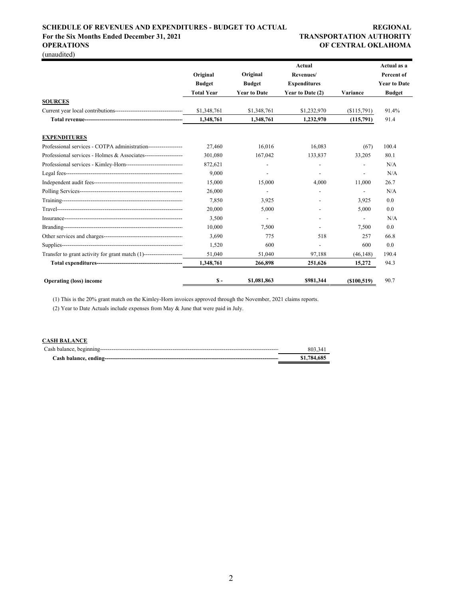### **SCHEDULE OF REVENUES AND EXPENDITURES - BUDGET TO ACTUAL REGIONAL** For the Six Months Ended December 31, 2021 TRANSPORTATION AUTHORITY

# **OPERATIONS OF CENTRAL OKLAHOMA**

(unaudited)

|                                                                     |                   |                     | <b>Actual</b>            |                          | Actual as a         |
|---------------------------------------------------------------------|-------------------|---------------------|--------------------------|--------------------------|---------------------|
|                                                                     | Original          | Original            | Revenues/                |                          | Percent of          |
|                                                                     | <b>Budget</b>     | <b>Budget</b>       | <b>Expenditures</b>      |                          | <b>Year to Date</b> |
|                                                                     | <b>Total Year</b> | <b>Year to Date</b> | Year to Date (2)         | Variance                 | <b>Budget</b>       |
| <b>SOURCES</b>                                                      |                   |                     |                          |                          |                     |
|                                                                     | \$1,348,761       | \$1,348,761         | \$1,232,970              | (\$115,791)              | 91.4%               |
|                                                                     | 1,348,761         | 1,348,761           | 1,232,970                | (115,791)                | 91.4                |
| <b>EXPENDITURES</b>                                                 |                   |                     |                          |                          |                     |
| Professional services - COTPA administration------------------      | 27,460            | 16.016              | 16,083                   | (67)                     | 100.4               |
| Professional services - Holmes & Associates---------------------    | 301,080           | 167,042             | 133,837                  | 33,205                   | 80.1                |
| Professional services - Kimley-Horn-------------------------------  | 872,621           |                     | $\overline{\phantom{a}}$ | $\overline{\phantom{0}}$ | N/A                 |
|                                                                     | 9,000             |                     |                          |                          | N/A                 |
|                                                                     | 15,000            | 15,000              | 4.000                    | 11,000                   | 26.7                |
|                                                                     | 26,000            |                     | $\overline{\phantom{0}}$ |                          | N/A                 |
|                                                                     | 7.850             | 3,925               |                          | 3,925                    | 0.0                 |
|                                                                     | 20,000            | 5,000               |                          | 5,000                    | 0.0                 |
|                                                                     | 3,500             |                     |                          |                          | N/A                 |
|                                                                     | 10,000            | 7,500               |                          | 7,500                    | 0.0                 |
|                                                                     | 3,690             | 775                 | 518                      | 257                      | 66.8                |
|                                                                     | 1.520             | 600                 |                          | 600                      | 0.0                 |
| Transfer to grant activity for grant match (1)--------------------- | 51,040            | 51,040              | 97,188                   | (46, 148)                | 190.4               |
|                                                                     | 1,348,761         | 266,898             | 251,626                  | 15,272                   | 94.3                |
| <b>Operating (loss) income</b>                                      | $S -$             | \$1,081,863         | \$981,344                | ( \$100, 519)            | 90.7                |

(1) This is the 20% grant match on the Kimley-Horn invoices approved through the November, 2021 claims reports.

(2) Year to Date Actuals include expenses from May & June that were paid in July.

#### **CASH BALANCE**

| 803.341     |
|-------------|
| \$1,784,685 |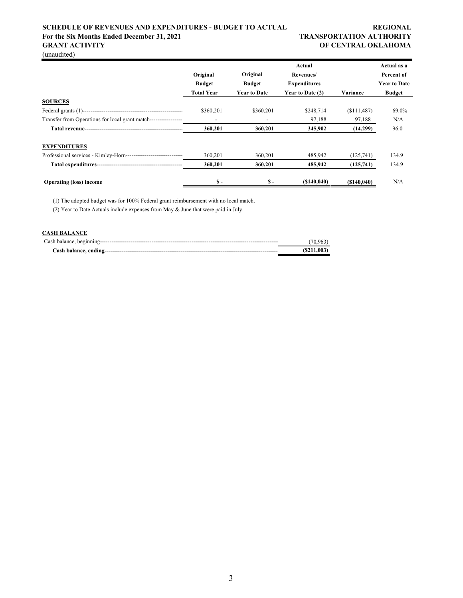#### **SCHEDULE OF REVENUES AND EXPENDITURES - BUDGET TO ACTUAL REGIONAL REGIONAL** For the Six Months Ended December 31, 2021 TRANSPORTATION AUTHORITY **GRANT ACTIVITY OF CENTRAL OKLAHOMA**

(unaudited)

|                                                                    |                   |                     | Actual              |             | Actual as a         |
|--------------------------------------------------------------------|-------------------|---------------------|---------------------|-------------|---------------------|
|                                                                    | Original          | Original            | Revenues/           |             | Percent of          |
|                                                                    | <b>Budget</b>     | <b>Budget</b>       | <b>Expenditures</b> |             | <b>Year to Date</b> |
|                                                                    | <b>Total Year</b> | <b>Year to Date</b> | Year to Date (2)    | Variance    | <b>Budget</b>       |
| <b>SOURCES</b>                                                     |                   |                     |                     |             |                     |
|                                                                    | \$360,201         | \$360,201           | \$248,714           | (S111, 487) | 69.0%               |
| Transfer from Operations for local grant match------------------   |                   |                     | 97,188              | 97,188      | N/A                 |
|                                                                    | 360,201           | 360,201             | 345,902             | (14,299)    | 96.0                |
| <b>EXPENDITURES</b>                                                |                   |                     |                     |             |                     |
| Professional services - Kimley-Horn------------------------------- | 360,201           | 360,201             | 485,942             | (125,741)   | 134.9               |
|                                                                    | 360,201           | 360,201             | 485,942             | (125,741)   | 134.9               |
| <b>Operating (loss) income</b>                                     | $S -$             | $S -$               | (S140.040)          | (S140.040)  | N/A                 |

(1) The adopted budget was for 100% Federal grant reimbursement with no local match.

(2) Year to Date Actuals include expenses from May & June that were paid in July.

#### **CASH BALANCE**

| (70.963)   |
|------------|
| (S211.003) |